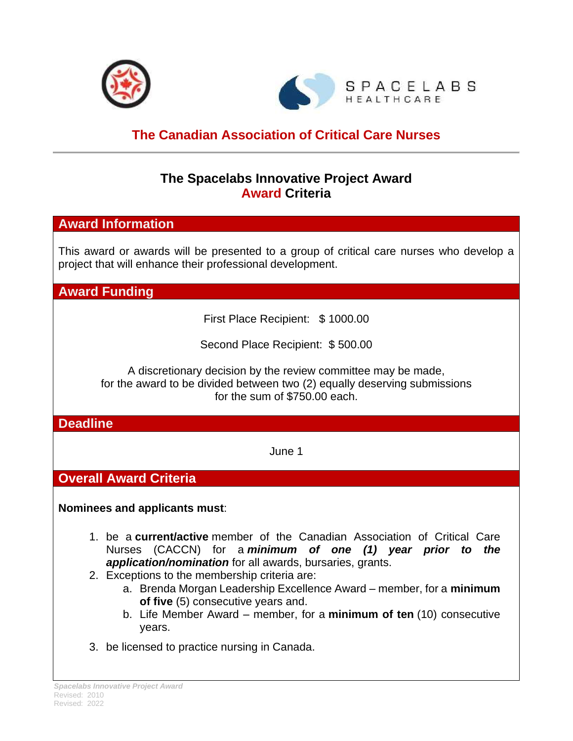



# **The Canadian Association of Critical Care Nurses**

## **The Spacelabs Innovative Project Award Award Criteria**

## **Award Information**

This award or awards will be presented to a group of critical care nurses who develop a project that will enhance their professional development.

**Award Funding**

First Place Recipient: \$ 1000.00

Second Place Recipient: \$ 500.00

A discretionary decision by the review committee may be made, for the award to be divided between two (2) equally deserving submissions for the sum of \$750.00 each.

#### **Deadline**

June 1

# **Overall Award Criteria**

**Nominees and applicants must**:

- 1. be a **current/active** member of the Canadian Association of Critical Care Nurses (CACCN) for a *minimum of one (1) year prior to the application/nomination* for all awards, bursaries, grants.
- 2. Exceptions to the membership criteria are:
	- a. Brenda Morgan Leadership Excellence Award member, for a **minimum of five** (5) consecutive years and.
	- b. Life Member Award member, for a **minimum of ten** (10) consecutive years.
- 3. be licensed to practice nursing in Canada.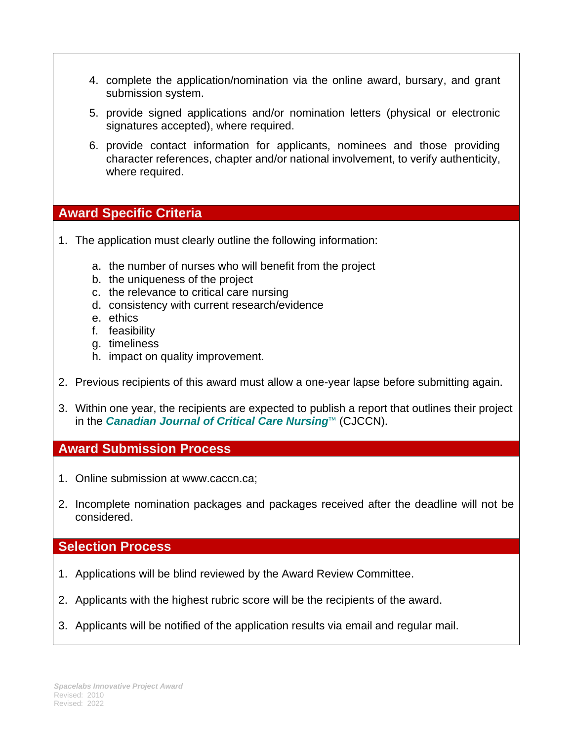- 4. complete the application/nomination via the online award, bursary, and grant submission system.
- 5. provide signed applications and/or nomination letters (physical or electronic signatures accepted), where required.
- 6. provide contact information for applicants, nominees and those providing character references, chapter and/or national involvement, to verify authenticity, where required.

## **Award Specific Criteria**

- 1. The application must clearly outline the following information:
	- a. the number of nurses who will benefit from the project
	- b. the uniqueness of the project
	- c. the relevance to critical care nursing
	- d. consistency with current research/evidence
	- e. ethics
	- f. feasibility
	- g. timeliness
	- h. impact on quality improvement.
- 2. Previous recipients of this award must allow a one-year lapse before submitting again.
- 3. Within one year, the recipients are expected to publish a report that outlines their project in the *Canadian Journal of Critical Care Nursing*™ (CJCCN).

## **Award Submission Process**

- 1. Online submission at www.caccn.ca;
- 2. Incomplete nomination packages and packages received after the deadline will not be considered.

## **Selection Process**

- 1. Applications will be blind reviewed by the Award Review Committee.
- 2. Applicants with the highest rubric score will be the recipients of the award.
- 3. Applicants will be notified of the application results via email and regular mail.